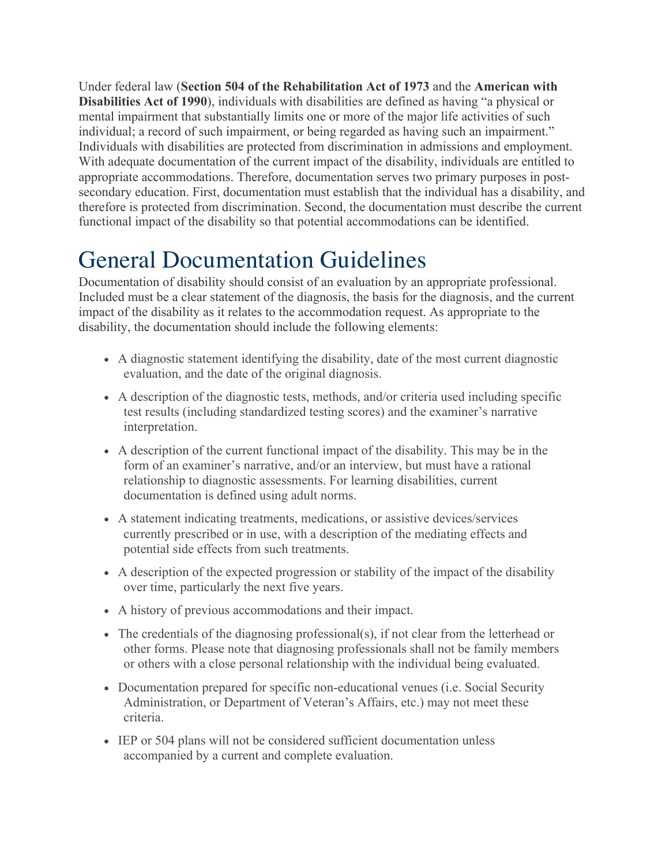Under federal law (**Section 504 of the Rehabilitation Act of 1973** and the **American with Disabilities Act of 1990**), individuals with disabilities are defined as having "a physical or mental impairment that substantially limits one or more of the major life activities of such individual; a record of such impairment, or being regarded as having such an impairment." Individuals with disabilities are protected from discrimination in admissions and employment. With adequate documentation of the current impact of the disability, individuals are entitled to appropriate accommodations. Therefore, documentation serves two primary purposes in postsecondary education. First, documentation must establish that the individual has a disability, and therefore is protected from discrimination. Second, the documentation must describe the current functional impact of the disability so that potential accommodations can be identified.

## General Documentation Guidelines

Documentation of disability should consist of an evaluation by an appropriate professional. Included must be a clear statement of the diagnosis, the basis for the diagnosis, and the current impact of the disability as it relates to the accommodation request. As appropriate to the disability, the documentation should include the following elements:

- A diagnostic statement identifying the disability, date of the most current diagnostic evaluation, and the date of the original diagnosis.
- A description of the diagnostic tests, methods, and/or criteria used including specific test results (including standardized testing scores) and the examiner's narrative interpretation.
- A description of the current functional impact of the disability. This may be in the form of an examiner's narrative, and/or an interview, but must have a rational relationship to diagnostic assessments. For learning disabilities, current documentation is defined using adult norms.
- A statement indicating treatments, medications, or assistive devices/services currently prescribed or in use, with a description of the mediating effects and potential side effects from such treatments.
- A description of the expected progression or stability of the impact of the disability over time, particularly the next five years.
- A history of previous accommodations and their impact.
- The credentials of the diagnosing professional(s), if not clear from the letterhead or other forms. Please note that diagnosing professionals shall not be family members or others with a close personal relationship with the individual being evaluated.
- Documentation prepared for specific non-educational venues (i.e. Social Security Administration, or Department of Veteran's Affairs, etc.) may not meet these criteria.
- IEP or 504 plans will not be considered sufficient documentation unless accompanied by a current and complete evaluation.